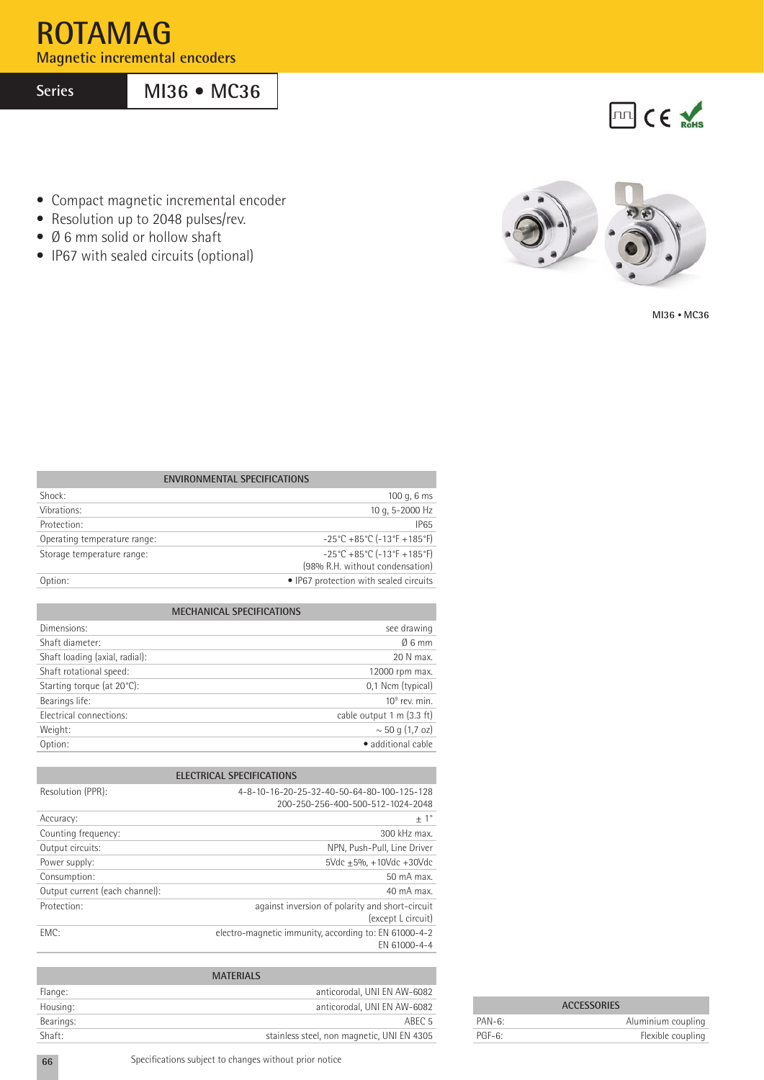## **ROTAMAG**

**Magnetic incremental encoders**

**Series**

## MI36 • MC36

# $\boxed{11}$  CE

- $\bullet$  Compact magnetic incremental encoder
- Resolution up to 2048 pulses/rev.
- $\bullet$  Ø 6 mm solid or hollow shaft
- IP67 with sealed circuits (optional)



**MI36 ŦMC36**

| <b>ENVIRONMENTAL SPECIFICATIONS</b> |                                                                                                          |  |  |  |  |
|-------------------------------------|----------------------------------------------------------------------------------------------------------|--|--|--|--|
| Shock:                              | 100 g, $6 \text{ ms}$                                                                                    |  |  |  |  |
| Vibrations:                         | 10 g, 5-2000 Hz                                                                                          |  |  |  |  |
| Protection:                         | <b>IP65</b>                                                                                              |  |  |  |  |
| Operating temperature range:        | $-25^{\circ}$ C +85 $^{\circ}$ C (-13 $^{\circ}$ F +185 $^{\circ}$ F)                                    |  |  |  |  |
| Storage temperature range:          | $-25^{\circ}$ C +85 $^{\circ}$ C (-13 $^{\circ}$ F +185 $^{\circ}$ F)<br>(98% R.H. without condensation) |  |  |  |  |
| Option:                             | • IP67 protection with sealed circuits                                                                   |  |  |  |  |

| Dimensions:                    | see drawing               |
|--------------------------------|---------------------------|
| Shaft diameter:                | Ø6mm                      |
| Shaft loading (axial, radial): | 20 N max.                 |
| Shaft rotational speed:        | 12000 rpm max.            |
| Starting torque (at 20°C):     | 0.1 Ncm (typical)         |
| Bearings life:                 | $109$ rev. min.           |
| Electrical connections:        | cable output 1 m (3.3 ft) |
| Weight:                        | $\sim$ 50 g (1,7 oz)      |
| Option:                        | · additional cable        |
|                                |                           |

| ELECTRICAL SPECIFICATIONS      |                                                                                 |  |  |  |  |
|--------------------------------|---------------------------------------------------------------------------------|--|--|--|--|
| Resolution (PPR):              | 4-8-10-16-20-25-32-40-50-64-80-100-125-128<br>200-250-256-400-500-512-1024-2048 |  |  |  |  |
| Accuracy:                      | $+1^{\circ}$                                                                    |  |  |  |  |
| Counting frequency:            | 300 kHz max.                                                                    |  |  |  |  |
| Output circuits:               | NPN. Push-Pull. Line Driver                                                     |  |  |  |  |
| Power supply:                  | $5$ Vdc $+5%$ , $+10$ Vdc $+30$ Vdc                                             |  |  |  |  |
| Consumption:                   | 50 mA max.                                                                      |  |  |  |  |
| Output current (each channel): | $40 \text{ mA max}$ .                                                           |  |  |  |  |
| Protection:                    | against inversion of polarity and short-circuit<br>(except L circuit)           |  |  |  |  |
| FMC:                           | electro-magnetic immunity, according to: EN 61000-4-2<br>FN 61000-4-4           |  |  |  |  |

| <b>MATERIALS</b> |                                            |  |  |  |  |
|------------------|--------------------------------------------|--|--|--|--|
| Flange:          | anticorodal, UNI EN AW-6082                |  |  |  |  |
| Housing:         | anticorodal, UNI EN AW-6082                |  |  |  |  |
| Bearings:        | ABFC <sub>5</sub>                          |  |  |  |  |
| Shaft:           | stainless steel, non magnetic, UNI EN 4305 |  |  |  |  |

|           | <b>ACCESSORIES</b> |
|-----------|--------------------|
| $PAN-6$ : | Aluminium coupling |
| $PGF-6:$  | Flexible coupling  |